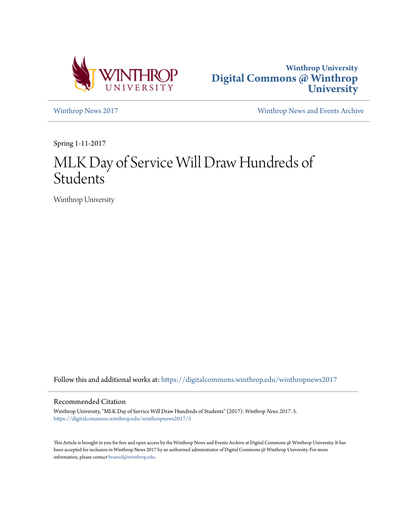



[Winthrop News 2017](https://digitalcommons.winthrop.edu/winthropnews2017?utm_source=digitalcommons.winthrop.edu%2Fwinthropnews2017%2F5&utm_medium=PDF&utm_campaign=PDFCoverPages) [Winthrop News and Events Archive](https://digitalcommons.winthrop.edu/winthropnewsarchives?utm_source=digitalcommons.winthrop.edu%2Fwinthropnews2017%2F5&utm_medium=PDF&utm_campaign=PDFCoverPages)

Spring 1-11-2017

# MLK Day of Service Will Draw Hundreds of Students

Winthrop University

Follow this and additional works at: [https://digitalcommons.winthrop.edu/winthropnews2017](https://digitalcommons.winthrop.edu/winthropnews2017?utm_source=digitalcommons.winthrop.edu%2Fwinthropnews2017%2F5&utm_medium=PDF&utm_campaign=PDFCoverPages)

### Recommended Citation

Winthrop University, "MLK Day of Service Will Draw Hundreds of Students" (2017). *Winthrop News 2017*. 5. [https://digitalcommons.winthrop.edu/winthropnews2017/5](https://digitalcommons.winthrop.edu/winthropnews2017/5?utm_source=digitalcommons.winthrop.edu%2Fwinthropnews2017%2F5&utm_medium=PDF&utm_campaign=PDFCoverPages)

This Article is brought to you for free and open access by the Winthrop News and Events Archive at Digital Commons @ Winthrop University. It has been accepted for inclusion in Winthrop News 2017 by an authorized administrator of Digital Commons @ Winthrop University. For more information, please contact [bramed@winthrop.edu](mailto:bramed@winthrop.edu).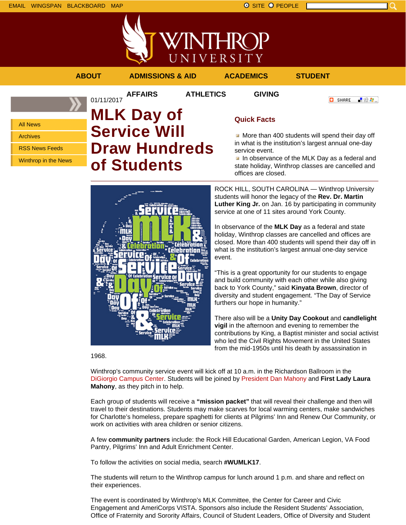



**ABOUT ADMISSIONS & AID ACADEMICS STUDENT**

**O** SHARE 上没身。

## All News

Archives

RSS News Feeds

Winthrop in the News

## **AFFAIRS ATHLETICS GIVING** 01/11/2017 **MLK Day of Service Will Draw Hundreds of Students**



## **Quick Facts**

More than 400 students will spend their day off in what is the institution's largest annual one-day service event.

In observance of the MLK Day as a federal and state holiday, Winthrop classes are cancelled and offices are closed.

ROCK HILL, SOUTH CAROLINA — Winthrop University students will honor the legacy of the **Rev. Dr. Martin Luther King Jr.** on Jan. 16 by participating in community service at one of 11 sites around York County.

In observance of the **MLK Day** as a federal and state holiday, Winthrop classes are cancelled and offices are closed. More than 400 students will spend their day off in what is the institution's largest annual one-day service event.

"This is a great opportunity for our students to engage and build community with each other while also giving back to York County," said **Kinyata Brown**, director of diversity and student engagement. "The Day of Service furthers our hope in humanity."

There also will be a **Unity Day Cookout** and **candlelight vigil** in the afternoon and evening to remember the contributions by King, a Baptist minister and social activist who led the Civil Rights Movement in the United States from the mid-1950s until his death by assassination in

1968.

Winthrop's community service event will kick off at 10 a.m. in the Richardson Ballroom in the DiGiorgio Campus Center. Students will be joined by President Dan Mahony and **First Lady Laura Mahony**, as they pitch in to help.

Each group of students will receive a **"mission packet"** that will reveal their challenge and then will travel to their destinations. Students may make scarves for local warming centers, make sandwiches for Charlotte's homeless, prepare spaghetti for clients at Pilgrims' Inn and Renew Our Community, or work on activities with area children or senior citizens.

A few **community partners** include: the Rock Hill Educational Garden, American Legion, VA Food Pantry, Pilgrims' Inn and Adult Enrichment Center.

To follow the activities on social media, search **#WUMLK17**.

The students will return to the Winthrop campus for lunch around 1 p.m. and share and reflect on their experiences.

The event is coordinated by Winthrop's MLK Committee, the Center for Career and Civic Engagement and AmeriCorps VISTA. Sponsors also include the Resident Students' Association, Office of Fraternity and Sorority Affairs, Council of Student Leaders, Office of Diversity and Student